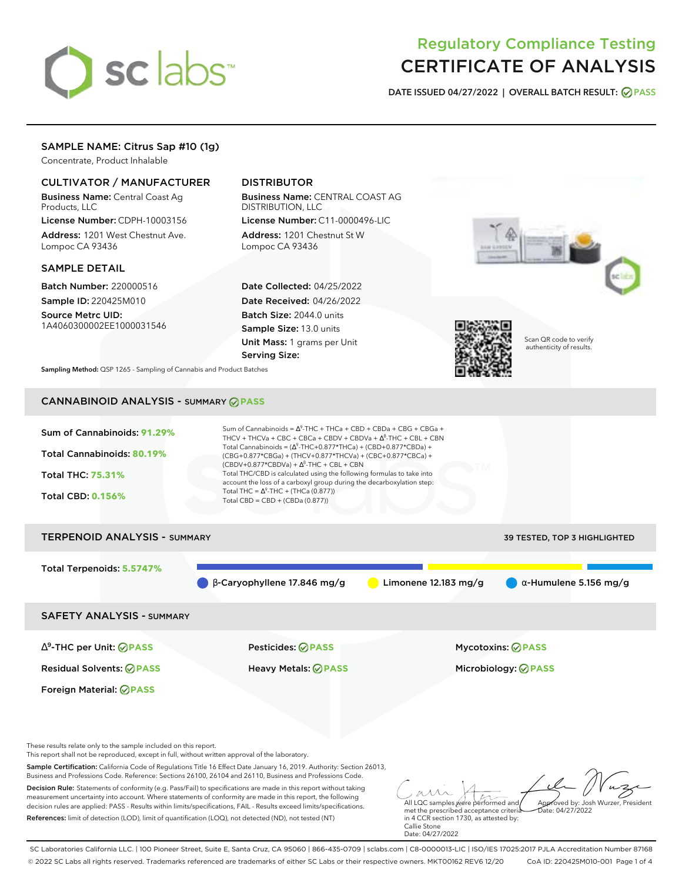# sclabs<sup>\*</sup>

# Regulatory Compliance Testing CERTIFICATE OF ANALYSIS

**DATE ISSUED 04/27/2022 | OVERALL BATCH RESULT: PASS**

# SAMPLE NAME: Citrus Sap #10 (1g)

Concentrate, Product Inhalable

# CULTIVATOR / MANUFACTURER

Business Name: Central Coast Ag Products, LLC

License Number: CDPH-10003156 Address: 1201 West Chestnut Ave. Lompoc CA 93436

# SAMPLE DETAIL

Batch Number: 220000516 Sample ID: 220425M010

Source Metrc UID: 1A4060300002EE1000031546

# DISTRIBUTOR

Business Name: CENTRAL COAST AG DISTRIBUTION, LLC License Number: C11-0000496-LIC

Address: 1201 Chestnut St W Lompoc CA 93436

Date Collected: 04/25/2022 Date Received: 04/26/2022 Batch Size: 2044.0 units Sample Size: 13.0 units Unit Mass: 1 grams per Unit Serving Size:





Scan QR code to verify authenticity of results.

**Sampling Method:** QSP 1265 - Sampling of Cannabis and Product Batches

# CANNABINOID ANALYSIS - SUMMARY **PASS**

| Sum of Cannabinoids: 91.29%<br>Total Cannabinoids: 80.19%<br><b>Total THC: 75.31%</b><br><b>Total CBD: 0.156%</b> | Sum of Cannabinoids = $\Delta^9$ -THC + THCa + CBD + CBDa + CBG + CBGa +<br>THCV + THCVa + CBC + CBCa + CBDV + CBDVa + $\Delta^8$ -THC + CBL + CBN<br>Total Cannabinoids = $(\Delta^9$ -THC+0.877*THCa) + (CBD+0.877*CBDa) +<br>(CBG+0.877*CBGa) + (THCV+0.877*THCVa) + (CBC+0.877*CBCa) +<br>$(CBDV+0.877*CBDVa) + \Delta^8$ -THC + CBL + CBN<br>Total THC/CBD is calculated using the following formulas to take into<br>account the loss of a carboxyl group during the decarboxylation step:<br>Total THC = $\Delta^9$ -THC + (THCa (0.877))<br>Total CBD = $CBD + (CBDa (0.877))$ |                                     |
|-------------------------------------------------------------------------------------------------------------------|----------------------------------------------------------------------------------------------------------------------------------------------------------------------------------------------------------------------------------------------------------------------------------------------------------------------------------------------------------------------------------------------------------------------------------------------------------------------------------------------------------------------------------------------------------------------------------------|-------------------------------------|
| <b>TERPENOID ANALYSIS - SUMMARY</b>                                                                               |                                                                                                                                                                                                                                                                                                                                                                                                                                                                                                                                                                                        | <b>39 TESTED, TOP 3 HIGHLIGHTED</b> |
| Total Terpenoids: 5.5747%                                                                                         |                                                                                                                                                                                                                                                                                                                                                                                                                                                                                                                                                                                        |                                     |

 $\beta$ -Caryophyllene 17.846 mg/g **a** Limonene 12.183 mg/g **a** α-Humulene 5.156 mg/g

SAFETY ANALYSIS - SUMMARY

∆ 9 -THC per Unit: **PASS** Pesticides: **PASS** Mycotoxins: **PASS**

Foreign Material: **PASS**

Residual Solvents: **PASS** Heavy Metals: **PASS** Microbiology: **PASS**

These results relate only to the sample included on this report.

This report shall not be reproduced, except in full, without written approval of the laboratory.

Sample Certification: California Code of Regulations Title 16 Effect Date January 16, 2019. Authority: Section 26013, Business and Professions Code. Reference: Sections 26100, 26104 and 26110, Business and Professions Code.

Decision Rule: Statements of conformity (e.g. Pass/Fail) to specifications are made in this report without taking measurement uncertainty into account. Where statements of conformity are made in this report, the following decision rules are applied: PASS - Results within limits/specifications, FAIL - Results exceed limits/specifications. References: limit of detection (LOD), limit of quantification (LOQ), not detected (ND), not tested (NT)

All LQC samples were performed and met the prescribed acceptance criteria Approved by: Josh Wurzer, President  $\frac{1}{2}$  04/27/2022

in 4 CCR section 1730, as attested by: Callie Stone Date: 04/27/2022

SC Laboratories California LLC. | 100 Pioneer Street, Suite E, Santa Cruz, CA 95060 | 866-435-0709 | sclabs.com | C8-0000013-LIC | ISO/IES 17025:2017 PJLA Accreditation Number 87168 © 2022 SC Labs all rights reserved. Trademarks referenced are trademarks of either SC Labs or their respective owners. MKT00162 REV6 12/20 CoA ID: 220425M010-001 Page 1 of 4